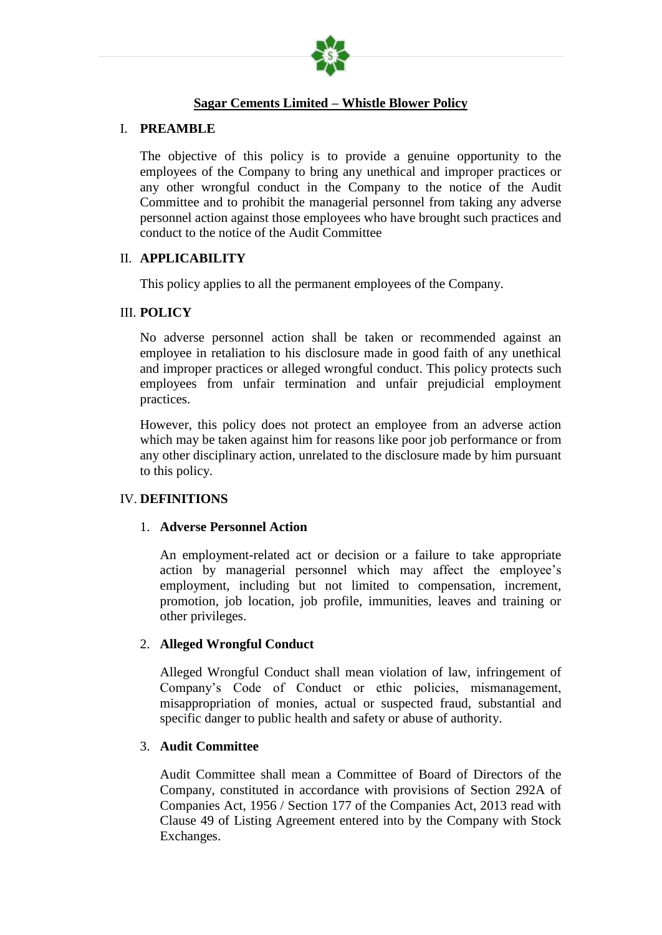

### **Sagar Cements Limited – Whistle Blower Policy**

#### I. **PREAMBLE**

The objective of this policy is to provide a genuine opportunity to the employees of the Company to bring any unethical and improper practices or any other wrongful conduct in the Company to the notice of the Audit Committee and to prohibit the managerial personnel from taking any adverse personnel action against those employees who have brought such practices and conduct to the notice of the Audit Committee

#### II. **APPLICABILITY**

This policy applies to all the permanent employees of the Company.

#### III. **POLICY**

No adverse personnel action shall be taken or recommended against an employee in retaliation to his disclosure made in good faith of any unethical and improper practices or alleged wrongful conduct. This policy protects such employees from unfair termination and unfair prejudicial employment practices.

However, this policy does not protect an employee from an adverse action which may be taken against him for reasons like poor job performance or from any other disciplinary action, unrelated to the disclosure made by him pursuant to this policy.

### IV. **DEFINITIONS**

#### 1. **Adverse Personnel Action**

An employment-related act or decision or a failure to take appropriate action by managerial personnel which may affect the employee's employment, including but not limited to compensation, increment, promotion, job location, job profile, immunities, leaves and training or other privileges.

### 2. **Alleged Wrongful Conduct**

Alleged Wrongful Conduct shall mean violation of law, infringement of Company's Code of Conduct or ethic policies, mismanagement, misappropriation of monies, actual or suspected fraud, substantial and specific danger to public health and safety or abuse of authority.

### 3. **Audit Committee**

Audit Committee shall mean a Committee of Board of Directors of the Company, constituted in accordance with provisions of Section 292A of Companies Act, 1956 / Section 177 of the Companies Act, 2013 read with Clause 49 of Listing Agreement entered into by the Company with Stock Exchanges.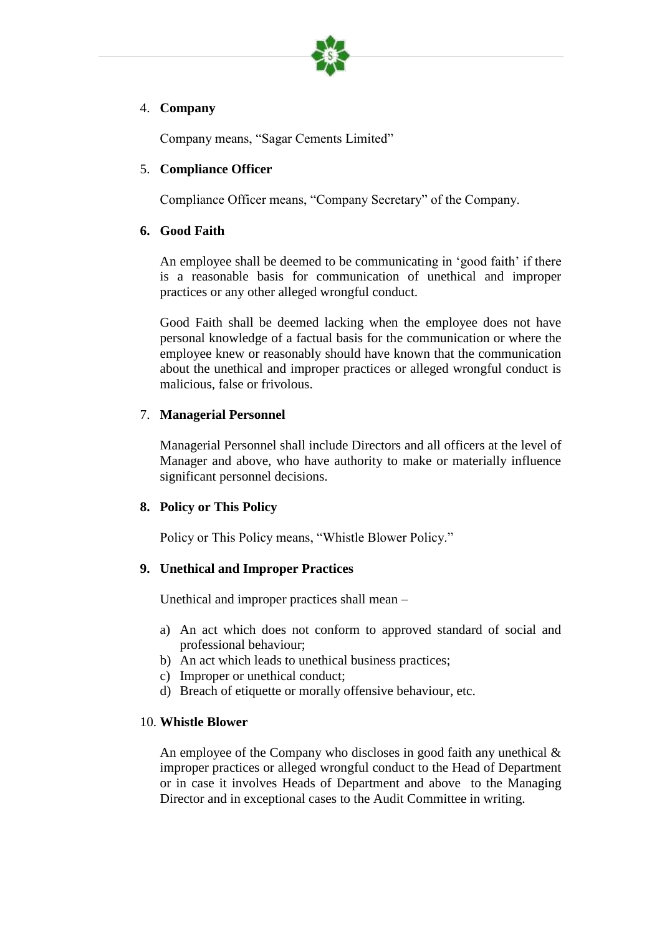

## 4. **Company**

Company means, "Sagar Cements Limited"

# 5. **Compliance Officer**

Compliance Officer means, "Company Secretary" of the Company.

# **6. Good Faith**

An employee shall be deemed to be communicating in 'good faith' if there is a reasonable basis for communication of unethical and improper practices or any other alleged wrongful conduct.

Good Faith shall be deemed lacking when the employee does not have personal knowledge of a factual basis for the communication or where the employee knew or reasonably should have known that the communication about the unethical and improper practices or alleged wrongful conduct is malicious, false or frivolous.

# 7. **Managerial Personnel**

Managerial Personnel shall include Directors and all officers at the level of Manager and above, who have authority to make or materially influence significant personnel decisions.

# **8. Policy or This Policy**

Policy or This Policy means, "Whistle Blower Policy."

# **9. Unethical and Improper Practices**

Unethical and improper practices shall mean –

- a) An act which does not conform to approved standard of social and professional behaviour;
- b) An act which leads to unethical business practices;
- c) Improper or unethical conduct;
- d) Breach of etiquette or morally offensive behaviour, etc.

## 10. **Whistle Blower**

An employee of the Company who discloses in good faith any unethical  $\&$ improper practices or alleged wrongful conduct to the Head of Department or in case it involves Heads of Department and above to the Managing Director and in exceptional cases to the Audit Committee in writing.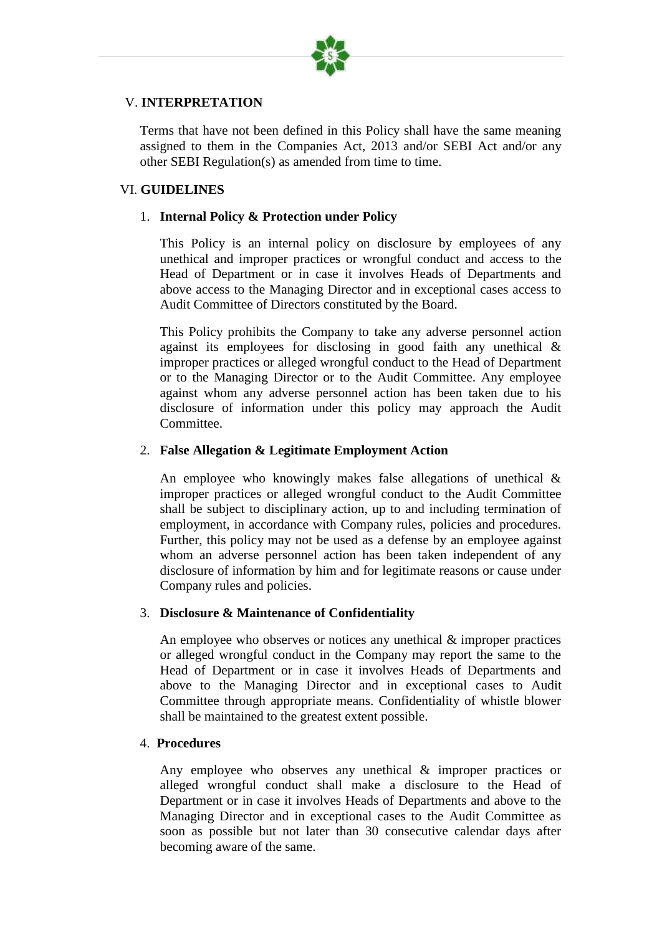

## V. **INTERPRETATION**

Terms that have not been defined in this Policy shall have the same meaning assigned to them in the Companies Act, 2013 and/or SEBI Act and/or any other SEBI Regulation(s) as amended from time to time.

### VI. **GUIDELINES**

### 1. **Internal Policy & Protection under Policy**

This Policy is an internal policy on disclosure by employees of any unethical and improper practices or wrongful conduct and access to the Head of Department or in case it involves Heads of Departments and above access to the Managing Director and in exceptional cases access to Audit Committee of Directors constituted by the Board.

This Policy prohibits the Company to take any adverse personnel action against its employees for disclosing in good faith any unethical & improper practices or alleged wrongful conduct to the Head of Department or to the Managing Director or to the Audit Committee. Any employee against whom any adverse personnel action has been taken due to his disclosure of information under this policy may approach the Audit Committee.

### 2. **False Allegation & Legitimate Employment Action**

An employee who knowingly makes false allegations of unethical & improper practices or alleged wrongful conduct to the Audit Committee shall be subject to disciplinary action, up to and including termination of employment, in accordance with Company rules, policies and procedures. Further, this policy may not be used as a defense by an employee against whom an adverse personnel action has been taken independent of any disclosure of information by him and for legitimate reasons or cause under Company rules and policies.

### 3. **Disclosure & Maintenance of Confidentiality**

An employee who observes or notices any unethical & improper practices or alleged wrongful conduct in the Company may report the same to the Head of Department or in case it involves Heads of Departments and above to the Managing Director and in exceptional cases to Audit Committee through appropriate means. Confidentiality of whistle blower shall be maintained to the greatest extent possible.

### 4. **Procedures**

Any employee who observes any unethical & improper practices or alleged wrongful conduct shall make a disclosure to the Head of Department or in case it involves Heads of Departments and above to the Managing Director and in exceptional cases to the Audit Committee as soon as possible but not later than 30 consecutive calendar days after becoming aware of the same.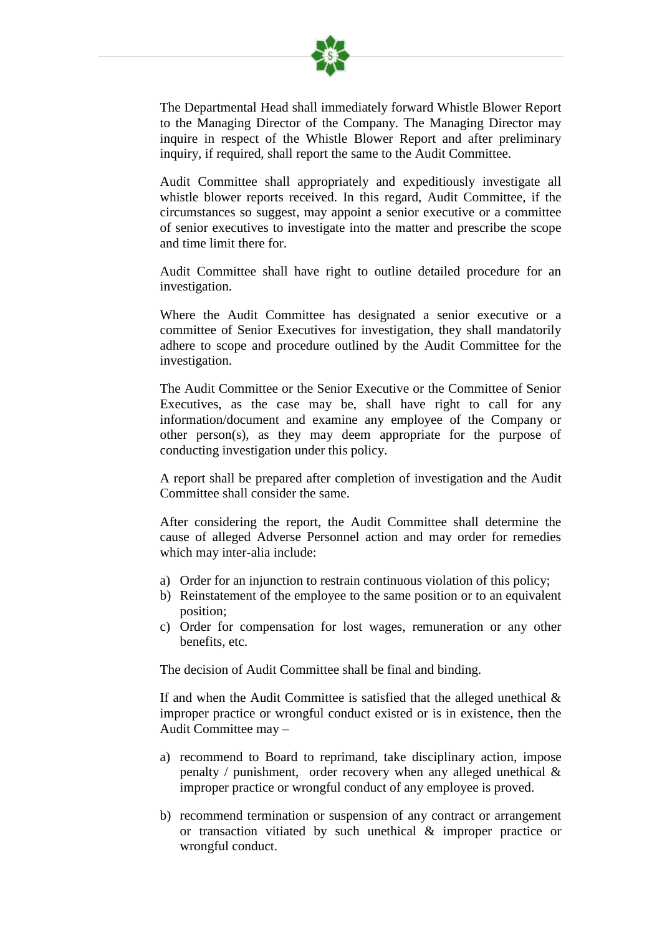

The Departmental Head shall immediately forward Whistle Blower Report to the Managing Director of the Company. The Managing Director may inquire in respect of the Whistle Blower Report and after preliminary inquiry, if required, shall report the same to the Audit Committee.

Audit Committee shall appropriately and expeditiously investigate all whistle blower reports received. In this regard, Audit Committee, if the circumstances so suggest, may appoint a senior executive or a committee of senior executives to investigate into the matter and prescribe the scope and time limit there for.

Audit Committee shall have right to outline detailed procedure for an investigation.

Where the Audit Committee has designated a senior executive or a committee of Senior Executives for investigation, they shall mandatorily adhere to scope and procedure outlined by the Audit Committee for the investigation.

The Audit Committee or the Senior Executive or the Committee of Senior Executives, as the case may be, shall have right to call for any information/document and examine any employee of the Company or other person(s), as they may deem appropriate for the purpose of conducting investigation under this policy.

A report shall be prepared after completion of investigation and the Audit Committee shall consider the same.

After considering the report, the Audit Committee shall determine the cause of alleged Adverse Personnel action and may order for remedies which may inter-alia include:

- a) Order for an injunction to restrain continuous violation of this policy;
- b) Reinstatement of the employee to the same position or to an equivalent position;
- c) Order for compensation for lost wages, remuneration or any other benefits, etc.

The decision of Audit Committee shall be final and binding.

If and when the Audit Committee is satisfied that the alleged unethical  $\&$ improper practice or wrongful conduct existed or is in existence, then the Audit Committee may –

- a) recommend to Board to reprimand, take disciplinary action, impose penalty / punishment, order recovery when any alleged unethical & improper practice or wrongful conduct of any employee is proved.
- b) recommend termination or suspension of any contract or arrangement or transaction vitiated by such unethical & improper practice or wrongful conduct.